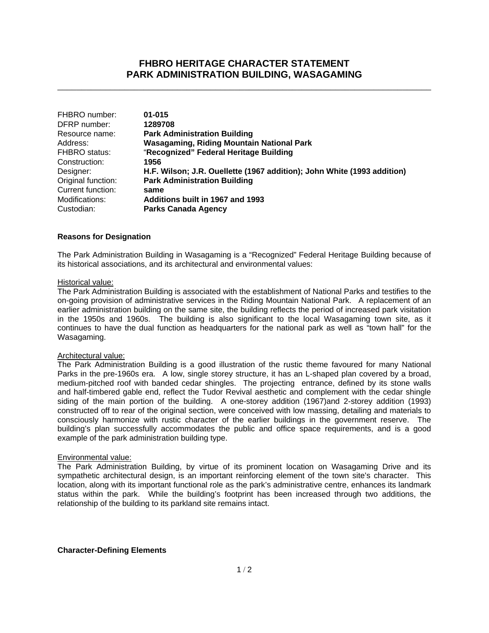# **FHBRO HERITAGE CHARACTER STATEMENT PARK ADMINISTRATION BUILDING, WASAGAMING**

\_\_\_\_\_\_\_\_\_\_\_\_\_\_\_\_\_\_\_\_\_\_\_\_\_\_\_\_\_\_\_\_\_\_\_\_\_\_\_\_\_\_\_\_\_\_\_\_\_\_\_\_\_\_\_\_\_\_\_\_\_\_\_\_\_\_\_\_\_\_\_\_\_\_\_\_\_\_

| FHBRO number:        | $01 - 015$                                                              |
|----------------------|-------------------------------------------------------------------------|
| DFRP number:         | 1289708                                                                 |
| Resource name:       | <b>Park Administration Building</b>                                     |
| Address:             | Wasagaming, Riding Mountain National Park                               |
| <b>FHBRO</b> status: | "Recognized" Federal Heritage Building                                  |
| Construction:        | 1956                                                                    |
| Designer:            | H.F. Wilson; J.R. Ouellette (1967 addition); John White (1993 addition) |
| Original function:   | <b>Park Administration Building</b>                                     |
| Current function:    | same                                                                    |
| Modifications:       | Additions built in 1967 and 1993                                        |
| Custodian:           | <b>Parks Canada Agency</b>                                              |

# **Reasons for Designation**

The Park Administration Building in Wasagaming is a "Recognized" Federal Heritage Building because of its historical associations, and its architectural and environmental values:

# Historical value:

The Park Administration Building is associated with the establishment of National Parks and testifies to the on-going provision of administrative services in the Riding Mountain National Park. A replacement of an earlier administration building on the same site, the building reflects the period of increased park visitation in the 1950s and 1960s. The building is also significant to the local Wasagaming town site, as it continues to have the dual function as headquarters for the national park as well as "town hall" for the Wasagaming.

# Architectural value:

The Park Administration Building is a good illustration of the rustic theme favoured for many National Parks in the pre-1960s era. A low, single storey structure, it has an L-shaped plan covered by a broad, medium-pitched roof with banded cedar shingles. The projecting entrance, defined by its stone walls and half-timbered gable end, reflect the Tudor Revival aesthetic and complement with the cedar shingle siding of the main portion of the building. A one-storey addition (1967)and 2-storey addition (1993) constructed off to rear of the original section, were conceived with low massing, detailing and materials to consciously harmonize with rustic character of the earlier buildings in the government reserve. The building's plan successfully accommodates the public and office space requirements, and is a good example of the park administration building type.

# Environmental value:

The Park Administration Building, by virtue of its prominent location on Wasagaming Drive and its sympathetic architectural design, is an important reinforcing element of the town site's character. This location, along with its important functional role as the park's administrative centre, enhances its landmark status within the park. While the building's footprint has been increased through two additions, the relationship of the building to its parkland site remains intact.

# **Character-Defining Elements**